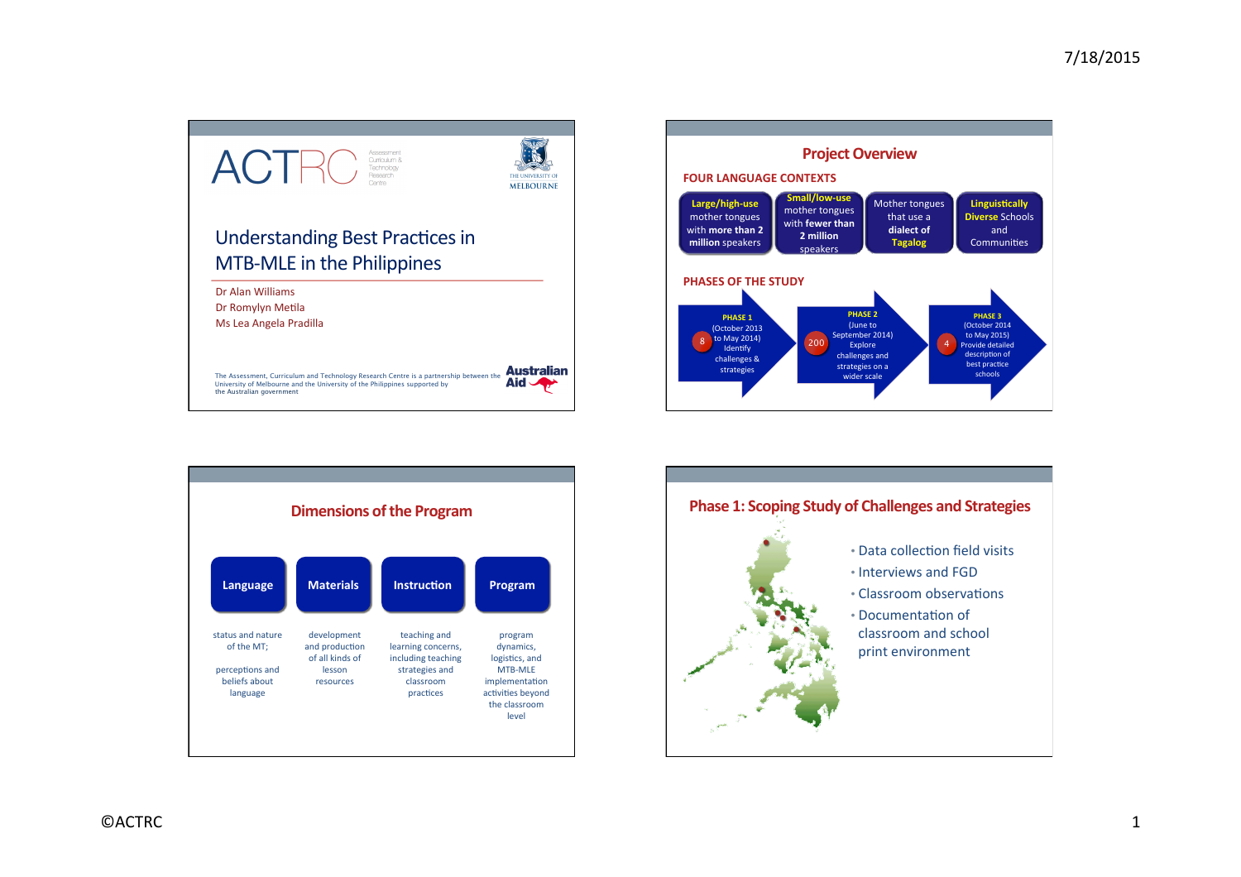



that use a dialect of **Tagalog**

**Linguistically Diverse Schools** and Communities

**PHASE 3** (October 2014 to May 2015) Provide detailed description of best practice schools

4

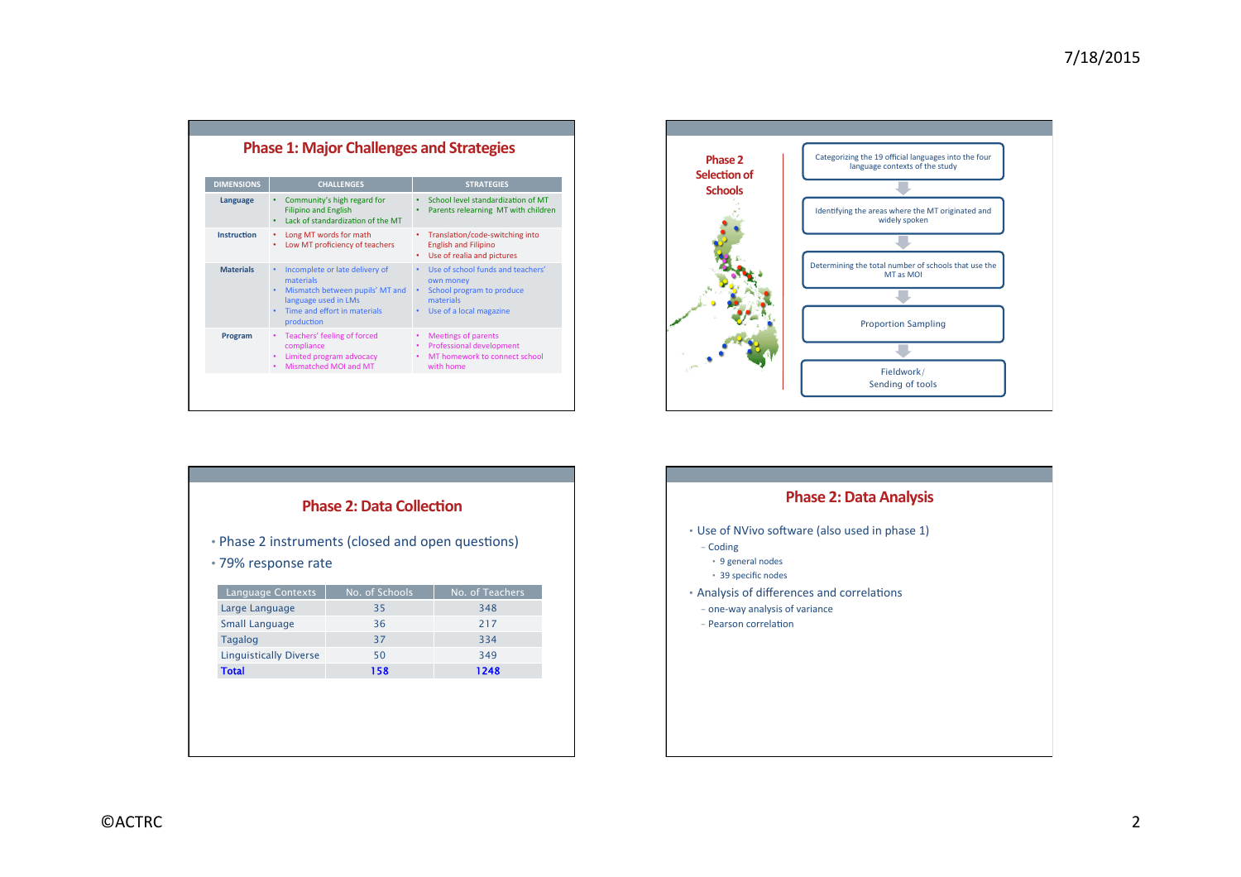| <b>Phase 1: Major Challenges and Strategies</b> |                                                                                                                                                                |                                                                                                                                  |  |
|-------------------------------------------------|----------------------------------------------------------------------------------------------------------------------------------------------------------------|----------------------------------------------------------------------------------------------------------------------------------|--|
| <b>DIMENSIONS</b>                               | <b>CHALLENGES</b>                                                                                                                                              | <b>STRATEGIES</b>                                                                                                                |  |
| Language                                        | Community's high regard for<br><b>Filipino and English</b><br>Lack of standardization of the MT                                                                | School level standardization of MT<br>Parents relearning MT with children                                                        |  |
| <b>Instruction</b>                              | Long MT words for math<br>٠<br>Low MT proficiency of teachers<br>٠                                                                                             | Translation/code-switching into<br>٠<br><b>English and Filipino</b><br>Use of realia and pictures                                |  |
| <b>Materials</b>                                | Incomplete or late delivery of<br>٠<br>materials<br>Mismatch between pupils' MT and<br>٠<br>language used in LMs<br>Time and effort in materials<br>production | Use of school funds and teachers'<br>$\bullet$<br>own money<br>School program to produce<br>materials<br>Use of a local magazine |  |
| Program                                         | Teachers' feeling of forced<br>compliance<br>Limited program advocacy<br>٠<br>Mismatched MOI and MT                                                            | <b>Meetings of parents</b><br>٠<br>Professional development<br>MT homework to connect school<br>٠<br>with home                   |  |



| • Phase 2 instruments (closed and open questions)<br>•79% response rate |                      |                        |  |
|-------------------------------------------------------------------------|----------------------|------------------------|--|
|                                                                         |                      |                        |  |
| <b>Language Contexts</b><br>Large Language                              | No. of Schools<br>35 | No. of Teachers<br>348 |  |
| <b>Small Language</b>                                                   | 36                   | 217                    |  |
| <b>Tagalog</b>                                                          | 37                   | 334                    |  |
| <b>Linguistically Diverse</b>                                           | 50                   | 349                    |  |
| <b>Total</b>                                                            | 158                  | 1248                   |  |
|                                                                         |                      |                        |  |

## **Phase 2: Data Analysis**

- Use of NVivo software (also used in phase 1)
	- Coding
	- 9 general nodes
	- 39 specific nodes
- Analysis of differences and correlations
- one-way analysis of variance
- Pearson correlation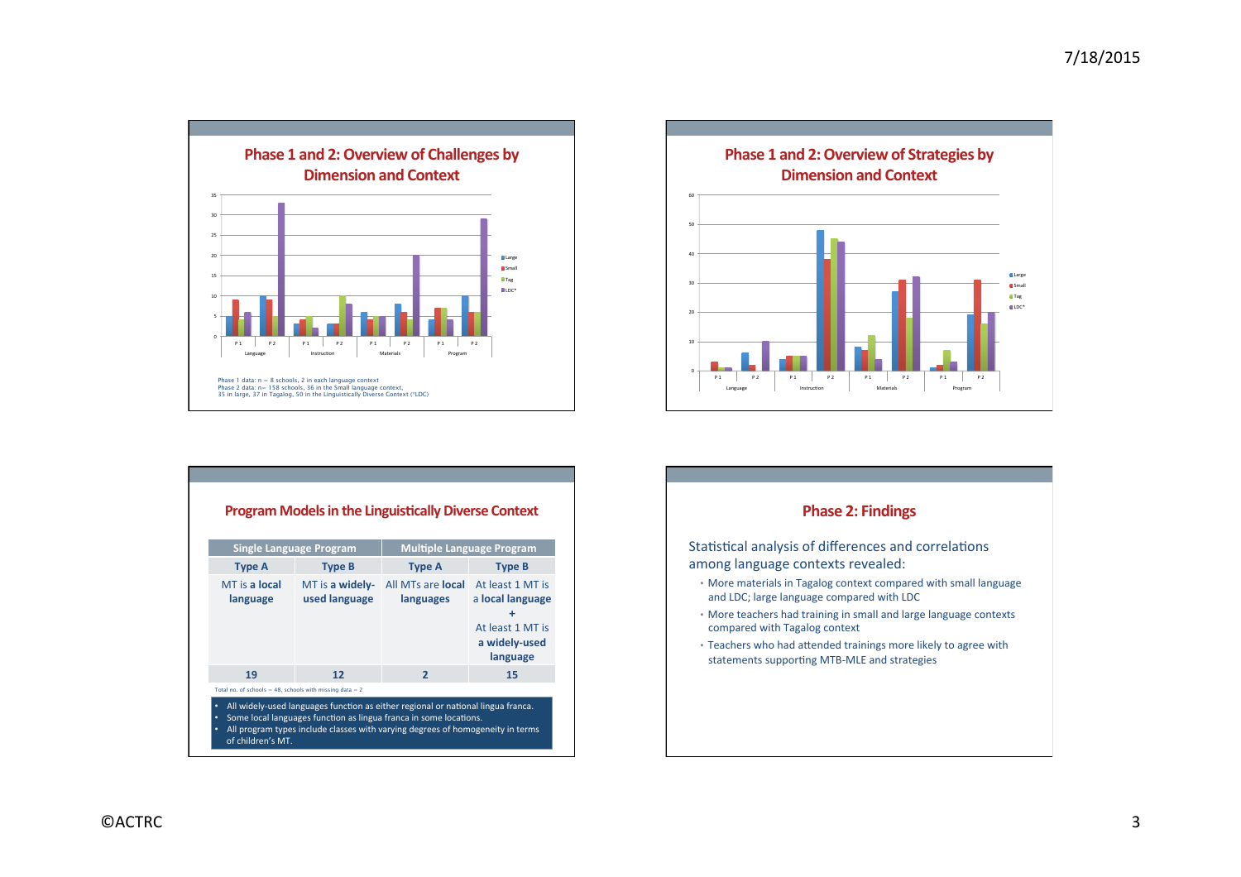



|                           | <b>Single Language Program</b>   | <b>Multiple Language Program</b>      |                                                                                            |
|---------------------------|----------------------------------|---------------------------------------|--------------------------------------------------------------------------------------------|
| <b>Type A</b>             | <b>Type B</b>                    | <b>Type A</b>                         | <b>Type B</b>                                                                              |
| MT is a local<br>language | MT is a widely-<br>used language | All MTs are <b>local</b><br>languages | At least 1 MT is<br>a local language<br>٠<br>At least 1 MT is<br>a widely-used<br>language |
| 19                        | 12                               | $\overline{2}$                        | 15                                                                                         |

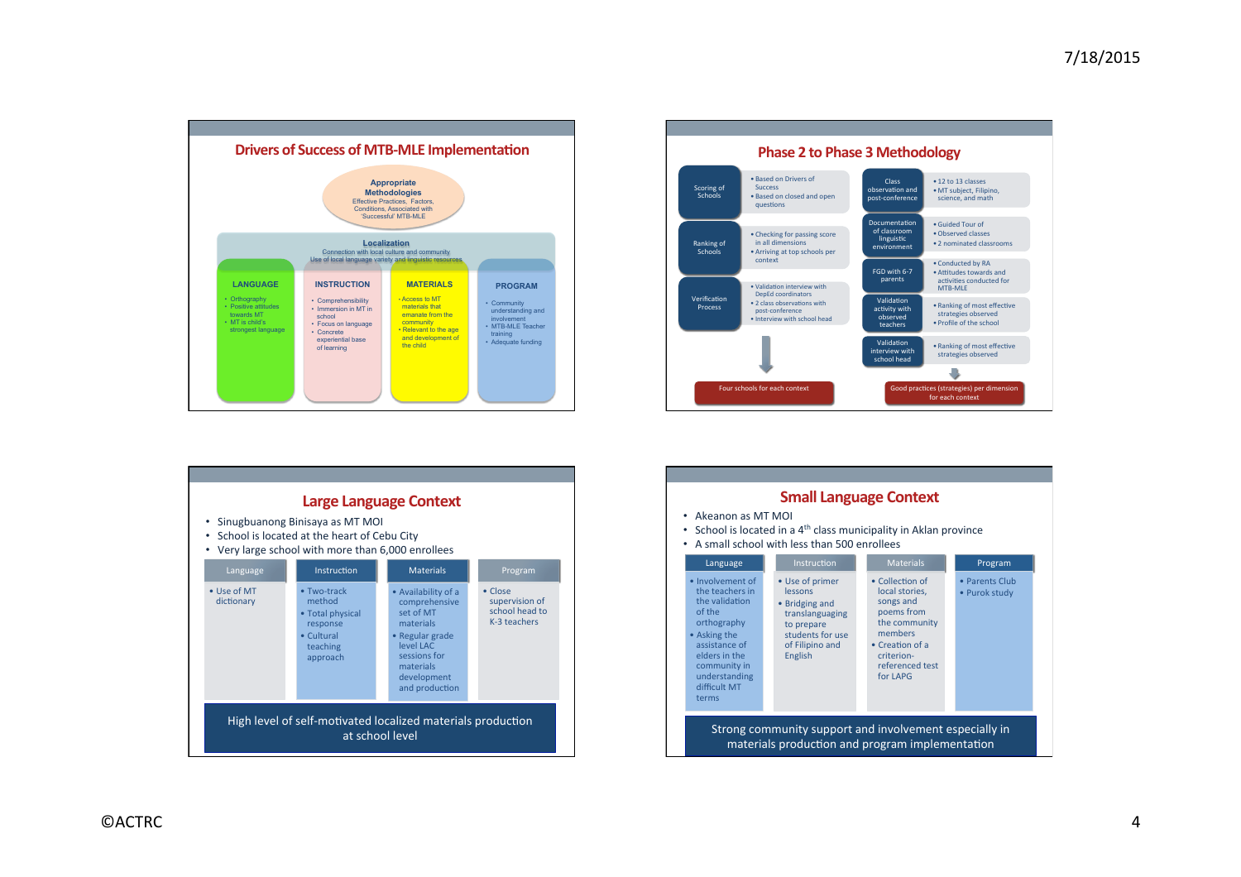



|                           |                                                                                                                                    | <b>Large Language Context</b>                                                                                                                                |                                                                     |
|---------------------------|------------------------------------------------------------------------------------------------------------------------------------|--------------------------------------------------------------------------------------------------------------------------------------------------------------|---------------------------------------------------------------------|
|                           | Sinugbuanong Binisaya as MT MOI<br>School is located at the heart of Cebu City<br>Very large school with more than 6,000 enrollees |                                                                                                                                                              |                                                                     |
| Language                  | Instruction                                                                                                                        | <b>Materials</b>                                                                                                                                             | Program                                                             |
| • Use of MT<br>dictionary | • Two-track<br>method<br>• Total physical<br>response<br>• Cultural<br>teaching<br>approach                                        | • Availability of a<br>comprehensive<br>set of MT<br>materials<br>• Regular grade<br>level LAC<br>sessions for<br>materials<br>development<br>and production | $\bullet$ Close<br>supervision of<br>school head to<br>K-3 teachers |
|                           | High level of self-motivated localized materials production                                                                        | at school level                                                                                                                                              |                                                                     |

|                                                                                                                                                                                            |                                                                                                                                 | <b>Small Language Context</b>                                                                                                                                    |                                 |
|--------------------------------------------------------------------------------------------------------------------------------------------------------------------------------------------|---------------------------------------------------------------------------------------------------------------------------------|------------------------------------------------------------------------------------------------------------------------------------------------------------------|---------------------------------|
| $\bullet$ Akeanon as MT MOI<br>٠                                                                                                                                                           | • School is located in a $4th$ class municipality in Aklan province<br>A small school with less than 500 enrollees              |                                                                                                                                                                  |                                 |
| Language                                                                                                                                                                                   | <b>Instruction</b>                                                                                                              | <b>Materials</b>                                                                                                                                                 | Program                         |
| . Involvement of<br>the teachers in<br>the validation<br>of the<br>orthography<br>• Asking the<br>assistance of<br>elders in the<br>community in<br>understanding<br>difficult MT<br>terms | • Use of primer<br>lessons<br>• Bridging and<br>translanguaging<br>to prepare<br>students for use<br>of Filipino and<br>English | • Collection of<br>local stories,<br>songs and<br>poems from<br>the community<br>members<br>$\bullet$ Creation of a<br>criterion-<br>referenced test<br>for LAPG | • Parents Club<br>• Purok study |
|                                                                                                                                                                                            | Strong community support and involvement especially in<br>materials production and program implementation                       |                                                                                                                                                                  |                                 |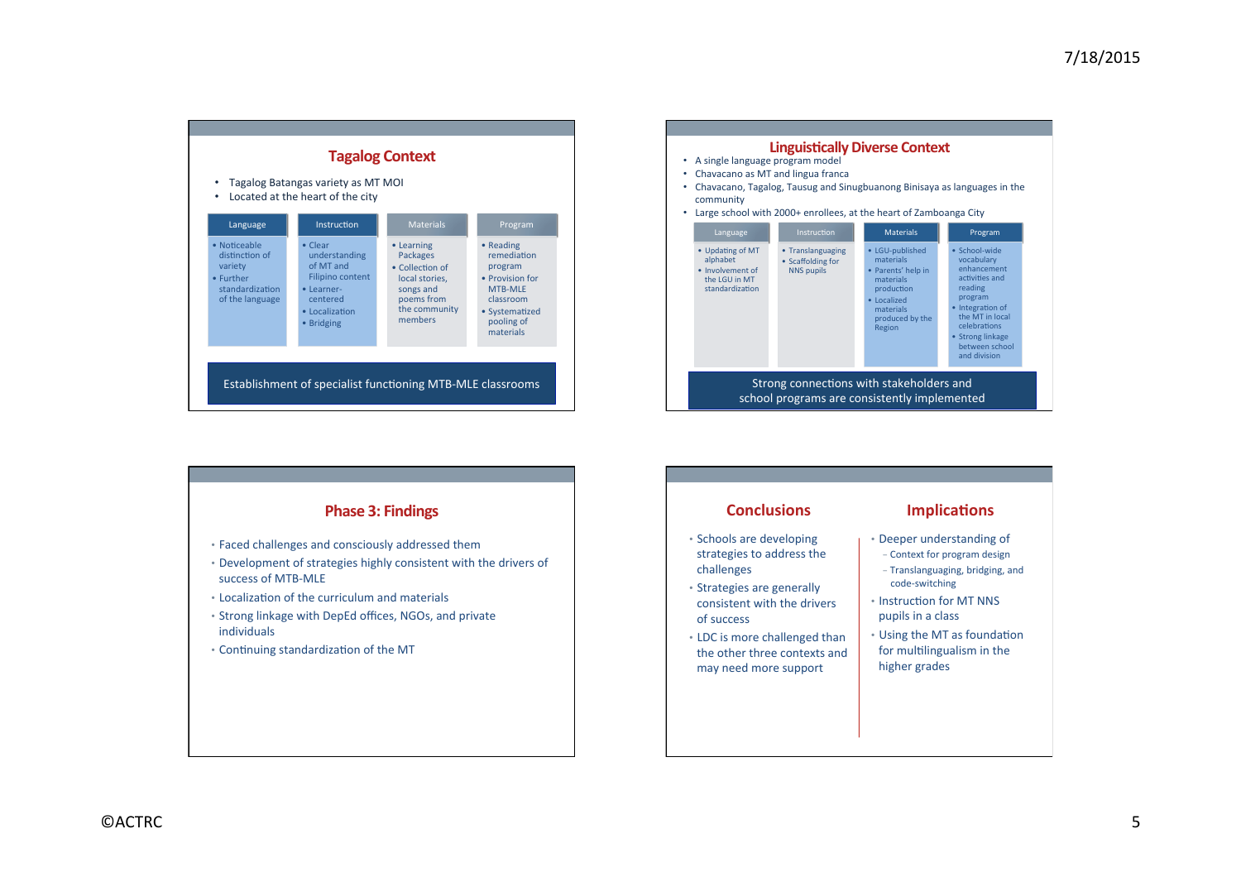| ٠                                                                                            | Tagalog Batangas variety as MT MOI<br>Located at the heart of the city                                              | <b>Tagalog Context</b>                                                                                             |                                                                                                                                    |
|----------------------------------------------------------------------------------------------|---------------------------------------------------------------------------------------------------------------------|--------------------------------------------------------------------------------------------------------------------|------------------------------------------------------------------------------------------------------------------------------------|
| Language                                                                                     | Instruction                                                                                                         | <b>Materials</b>                                                                                                   | Program                                                                                                                            |
| • Noticeable<br>distinction of<br>variety<br>• Further<br>standardization<br>of the language | • Clear<br>understanding<br>of MT and<br>Filipino content<br>• Learner-<br>centered<br>• Localization<br>• Bridging | • Learning<br>Packages<br>• Collection of<br>local stories,<br>songs and<br>poems from<br>the community<br>members | • Reading<br>remediation<br>program<br>• Provision for<br><b>MTB-MLE</b><br>classroom<br>• Systematized<br>pooling of<br>materials |
|                                                                                              |                                                                                                                     |                                                                                                                    |                                                                                                                                    |